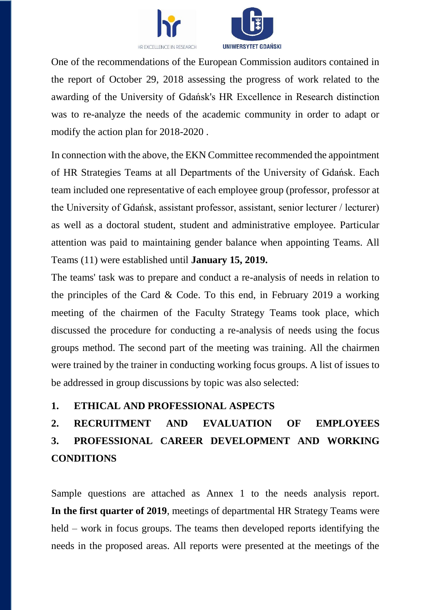



One of the recommendations of the European Commission auditors contained in the report of October 29, 2018 assessing the progress of work related to the awarding of the University of Gdańsk's HR Excellence in Research distinction was to re-analyze the needs of the academic community in order to adapt or modify the action plan for 2018-2020 .

In connection with the above, the EKN Committee recommended the appointment of HR Strategies Teams at all Departments of the University of Gdańsk. Each team included one representative of each employee group (professor, professor at the University of Gdańsk, assistant professor, assistant, senior lecturer / lecturer) as well as a doctoral student, student and administrative employee. Particular attention was paid to maintaining gender balance when appointing Teams. All Teams (11) were established until **January 15, 2019.**

The teams' task was to prepare and conduct a re-analysis of needs in relation to the principles of the Card & Code. To this end, in February 2019 a working meeting of the chairmen of the Faculty Strategy Teams took place, which discussed the procedure for conducting a re-analysis of needs using the focus groups method. The second part of the meeting was training. All the chairmen were trained by the trainer in conducting working focus groups. A list of issues to be addressed in group discussions by topic was also selected:

#### **1. ETHICAL AND PROFESSIONAL ASPECTS**

# **2. RECRUITMENT AND EVALUATION OF EMPLOYEES 3. PROFESSIONAL CAREER DEVELOPMENT AND WORKING CONDITIONS**

Sample questions are attached as Annex 1 to the needs analysis report. **In the first quarter of 2019**, meetings of departmental HR Strategy Teams were held – work in focus groups. The teams then developed reports identifying the needs in the proposed areas. All reports were presented at the meetings of the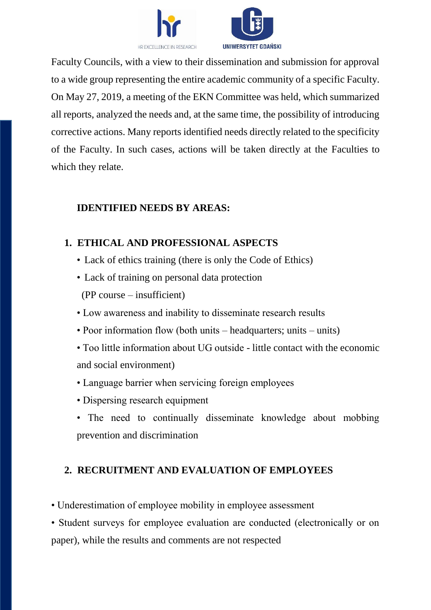



Faculty Councils, with a view to their dissemination and submission for approval to a wide group representing the entire academic community of a specific Faculty. On May 27, 2019, a meeting of the EKN Committee was held, which summarized all reports, analyzed the needs and, at the same time, the possibility of introducing corrective actions. Many reports identified needs directly related to the specificity of the Faculty. In such cases, actions will be taken directly at the Faculties to which they relate.

#### **IDENTIFIED NEEDS BY AREAS:**

## **1. ETHICAL AND PROFESSIONAL ASPECTS**

- Lack of ethics training (there is only the Code of Ethics)
- Lack of training on personal data protection (PP course – insufficient)
- Low awareness and inability to disseminate research results
- Poor information flow (both units headquarters; units units)
- Too little information about UG outside little contact with the economic and social environment)
- Language barrier when servicing foreign employees
- Dispersing research equipment
- The need to continually disseminate knowledge about mobbing prevention and discrimination

## **2. RECRUITMENT AND EVALUATION OF EMPLOYEES**

• Underestimation of employee mobility in employee assessment

• Student surveys for employee evaluation are conducted (electronically or on paper), while the results and comments are not respected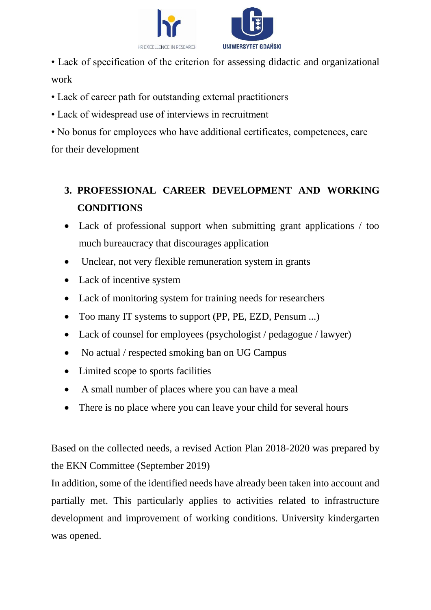

• Lack of specification of the criterion for assessing didactic and organizational

• No bonus for employees who have additional certificates, competences, care

for their development

• Lack of career path for outstanding external practitioners

• Lack of widespread use of interviews in recruitment

# **3. PROFESSIONAL CAREER DEVELOPMENT AND WORKING CONDITIONS**

- Lack of professional support when submitting grant applications / too much bureaucracy that discourages application
- Unclear, not very flexible remuneration system in grants
- Lack of incentive system

work

- Lack of monitoring system for training needs for researchers
- Too many IT systems to support (PP, PE, EZD, Pensum ...)
- Lack of counsel for employees (psychologist / pedagogue / lawyer)
- No actual / respected smoking ban on UG Campus
- Limited scope to sports facilities
- A small number of places where you can have a meal
- There is no place where you can leave your child for several hours

Based on the collected needs, a revised Action Plan 2018-2020 was prepared by the EKN Committee (September 2019)

In addition, some of the identified needs have already been taken into account and partially met. This particularly applies to activities related to infrastructure development and improvement of working conditions. University kindergarten was opened.